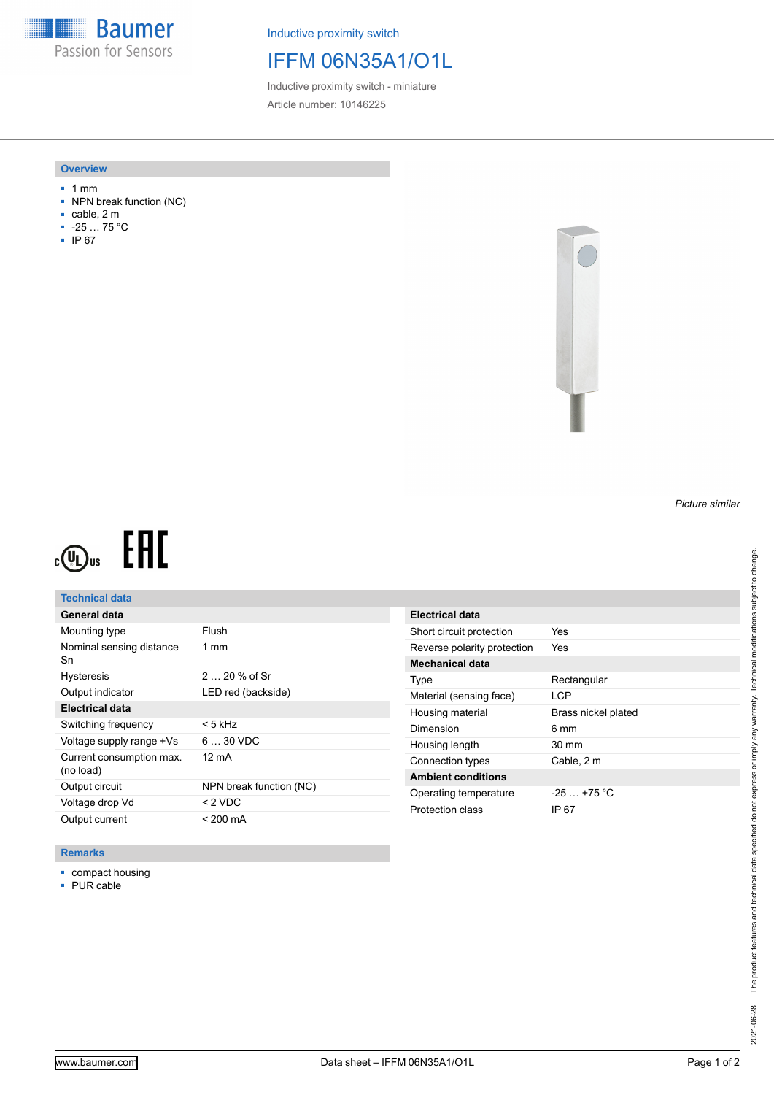**Baumer** Passion for Sensors

Inductive proximity switch

# IFFM 06N35A1/O1L

Inductive proximity switch - miniature Article number: 10146225

#### **Overview**

- 1 mm
- NPN break function (NC)
- cable, 2 m
- -25 … 75 °C
- IP 67



# EAC  $c(\mathbf{U})$ us

## **Technical data**

| General data                          |                         |
|---------------------------------------|-------------------------|
| Mounting type                         | Flush                   |
| Nominal sensing distance<br>Sn        | $1 \text{ mm}$          |
| <b>Hysteresis</b>                     | $220%$ of Sr            |
| Output indicator                      | LED red (backside)      |
| Electrical data                       |                         |
| Switching frequency                   | < 5 kHz                 |
| Voltage supply range +Vs              | $630$ VDC               |
| Current consumption max.<br>(no load) | 12 mA                   |
| Output circuit                        | NPN break function (NC) |
| Voltage drop Vd                       | $<$ 2 VDC               |
| Output current                        | $< 200 \text{ mA}$      |

| Electrical data             |                     |
|-----------------------------|---------------------|
| Short circuit protection    | Yes                 |
| Reverse polarity protection | Yes                 |
| Mechanical data             |                     |
| Type                        | Rectangular         |
| Material (sensing face)     | I CP                |
|                             |                     |
| Housing material            | Brass nickel plated |
| Dimension                   | 6 mm                |
| Housing length              | $30 \text{ mm}$     |
| Connection types            | Cable, 2 m          |
| <b>Ambient conditions</b>   |                     |
| Operating temperature       | $-25+75 °C$         |

### **Remarks**

- compact housing
- PUR cable

*Picture similar*